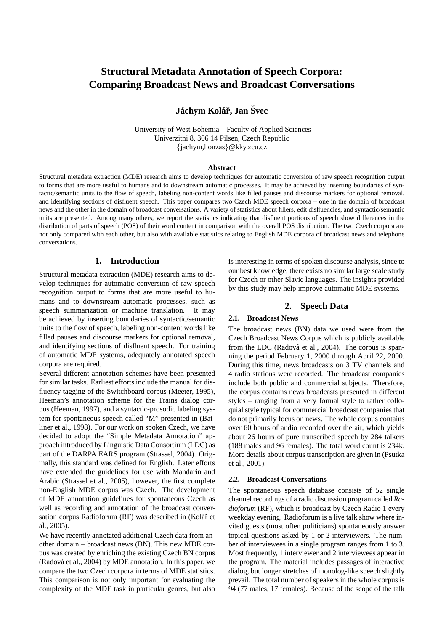# **Structural Metadata Annotation of Speech Corpora: Comparing Broadcast News and Broadcast Conversations**

## **Jáchym Kolář, Jan Švec**

University of West Bohemia – Faculty of Applied Sciences Univerzitni 8, 306 14 Pilsen, Czech Republic {jachym,honzas}@kky.zcu.cz

#### **Abstract**

Structural metadata extraction (MDE) research aims to develop techniques for automatic conversion of raw speech recognition output to forms that are more useful to humans and to downstream automatic processes. It may be achieved by inserting boundaries of syntactic/semantic units to the flow of speech, labeling non-content words like filled pauses and discourse markers for optional removal, and identifying sections of disfluent speech. This paper compares two Czech MDE speech corpora – one in the domain of broadcast news and the other in the domain of broadcast conversations. A variety of statistics about fillers, edit disfluencies, and syntactic/semantic units are presented. Among many others, we report the statistics indicating that disfluent portions of speech show differences in the distribution of parts of speech (POS) of their word content in comparison with the overall POS distribution. The two Czech corpora are not only compared with each other, but also with available statistics relating to English MDE corpora of broadcast news and telephone conversations.

## **1. Introduction**

Structural metadata extraction (MDE) research aims to develop techniques for automatic conversion of raw speech recognition output to forms that are more useful to humans and to downstream automatic processes, such as speech summarization or machine translation. It may be achieved by inserting boundaries of syntactic/semantic units to the flow of speech, labeling non-content words like filled pauses and discourse markers for optional removal, and identifying sections of disfluent speech. For training of automatic MDE systems, adequately annotated speech corpora are required.

Several different annotation schemes have been presented for similar tasks. Earliest efforts include the manual for disfluency tagging of the Switchboard corpus (Meeter, 1995), Heeman's annotation scheme for the Trains dialog corpus (Heeman, 1997), and a syntactic-prosodic labeling system for spontaneous speech called "M" presented in (Batliner et al., 1998). For our work on spoken Czech, we have decided to adopt the "Simple Metadata Annotation" approach introduced by Linguistic Data Consortium (LDC) as part of the DARPA EARS program (Strassel, 2004). Originally, this standard was defined for English. Later efforts have extended the guidelines for use with Mandarin and Arabic (Strassel et al., 2005), however, the first complete non-English MDE corpus was Czech. The development of MDE annotation guidelines for spontaneous Czech as well as recording and annotation of the broadcast conversation corpus Radioforum (RF) was described in (Kolář et al., 2005).

We have recently annotated additional Czech data from another domain – broadcast news (BN). This new MDE corpus was created by enriching the existing Czech BN corpus (Radová et al., 2004) by MDE annotation. In this paper, we compare the two Czech corpora in terms of MDE statistics. This comparison is not only important for evaluating the complexity of the MDE task in particular genres, but also is interesting in terms of spoken discourse analysis, since to our best knowledge, there exists no similar large scale study for Czech or other Slavic languages. The insights provided by this study may help improve automatic MDE systems.

#### **2. Speech Data**

#### **2.1. Broadcast News**

The broadcast news (BN) data we used were from the Czech Broadcast News Corpus which is publicly available from the LDC (Radová et al., 2004). The corpus is spanning the period February 1, 2000 through April 22, 2000. During this time, news broadcasts on 3 TV channels and 4 radio stations were recorded. The broadcast companies include both public and commercial subjects. Therefore, the corpus contains news broadcasts presented in different styles – ranging from a very formal style to rather colloquial style typical for commercial broadcast companies that do not primarily focus on news. The whole corpus contains over 60 hours of audio recorded over the air, which yields about 26 hours of pure transcribed speech by 284 talkers (188 males and 96 females). The total word count is 234k. More details about corpus transcription are given in (Psutka et al., 2001).

#### **2.2. Broadcast Conversations**

The spontaneous speech database consists of 52 single channel recordings of a radio discussion program called *Radioforum* (RF), which is broadcast by Czech Radio 1 every weekday evening. Radioforum is a live talk show where invited guests (most often politicians) spontaneously answer topical questions asked by 1 or 2 interviewers. The number of interviewees in a single program ranges from 1 to 3. Most frequently, 1 interviewer and 2 interviewees appear in the program. The material includes passages of interactive dialog, but longer stretches of monolog-like speech slightly prevail. The total number of speakers in the whole corpus is 94 (77 males, 17 females). Because of the scope of the talk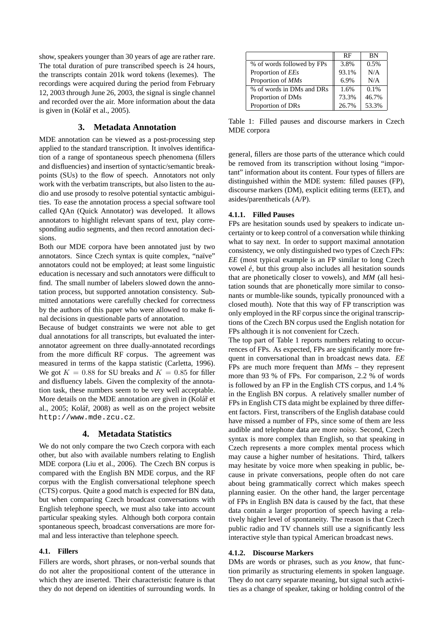show, speakers younger than 30 years of age are rather rare. The total duration of pure transcribed speech is 24 hours, the transcripts contain 201k word tokens (lexemes). The recordings were acquired during the period from February 12, 2003 through June 26, 2003, the signal is single channel and recorded over the air. More information about the data is given in (Kolář et al., 2005).

## **3. Metadata Annotation**

MDE annotation can be viewed as a post-processing step applied to the standard transcription. It involves identification of a range of spontaneous speech phenomena (fillers and disfluencies) and insertion of syntactic/semantic breakpoints (SUs) to the flow of speech. Annotators not only work with the verbatim transcripts, but also listen to the audio and use prosody to resolve potential syntactic ambiguities. To ease the annotation process a special software tool called QAn (Quick Annotator) was developed. It allows annotators to highlight relevant spans of text, play corresponding audio segments, and then record annotation decisions.

Both our MDE corpora have been annotated just by two annotators. Since Czech syntax is quite complex, "naïve" annotators could not be employed; at least some linguistic education is necessary and such annotators were difficult to find. The small number of labelers slowed down the annotation process, but supported annotation consistency. Submitted annotations were carefully checked for correctness by the authors of this paper who were allowed to make final decisions in questionable parts of annotation.

Because of budget constraints we were not able to get dual annotations for all transcripts, but evaluated the interannotator agreement on three dually-annotated recordings from the more difficult RF corpus. The agreement was measured in terms of the kappa statistic (Carletta, 1996). We got  $K = 0.88$  for SU breaks and  $K = 0.85$  for filler and disfluency labels. Given the complexity of the annotation task, these numbers seem to be very well acceptable. More details on the MDE annotation are given in (Kolář et al., 2005; Kolář, 2008) as well as on the project website http://www.mde.zcu.cz.

#### **4. Metadata Statistics**

We do not only compare the two Czech corpora with each other, but also with available numbers relating to English MDE corpora (Liu et al., 2006). The Czech BN corpus is compared with the English BN MDE corpus, and the RF corpus with the English conversational telephone speech (CTS) corpus. Quite a good match is expected for BN data, but when comparing Czech broadcast conversations with English telephone speech, we must also take into account particular speaking styles. Although both corpora contain spontaneous speech, broadcast conversations are more formal and less interactive than telephone speech.

#### **4.1. Fillers**

Fillers are words, short phrases, or non-verbal sounds that do not alter the propositional content of the utterance in which they are inserted. Their characteristic feature is that they do not depend on identities of surrounding words. In

|                            | <b>RF</b> | <b>BN</b> |
|----------------------------|-----------|-----------|
| % of words followed by FPs | 3.8%      | 0.5%      |
| Proportion of <i>EEs</i>   | 93.1%     | N/A       |
| Proportion of MMs          | 6.9%      | N/A       |
| % of words in DMs and DRs  | 1.6%      | $0.1\%$   |
| Proportion of DMs          | 73.3%     | 46.7%     |
| Proportion of DRs          | 26.7%     | 53.3%     |

Table 1: Filled pauses and discourse markers in Czech MDE corpora

general, fillers are those parts of the utterance which could be removed from its transcription without losing "important" information about its content. Four types of fillers are distinguished within the MDE system: filled pauses (FP), discourse markers (DM), explicit editing terms (EET), and asides/parentheticals (A/P).

#### **4.1.1. Filled Pauses**

FPs are hesitation sounds used by speakers to indicate uncertainty or to keep control of a conversation while thinking what to say next. In order to support maximal annotation consistency, we only distinguished two types of Czech FPs: *EE* (most typical example is an FP similar to long Czech vowel *e´*, but this group also includes all hesitation sounds that are phonetically closer to vowels), and *MM* (all hesitation sounds that are phonetically more similar to consonants or mumble-like sounds, typically pronounced with a closed mouth). Note that this way of FP transcription was only employed in the RF corpus since the original transcriptions of the Czech BN corpus used the English notation for FPs although it is not convenient for Czech.

The top part of Table 1 reports numbers relating to occurrences of FPs. As expected, FPs are significantly more frequent in conversational than in broadcast news data. *EE* FPs are much more frequent than *MMs* – they represent more than 93 % of FPs. For comparison, 2.2 % of words is followed by an FP in the English CTS corpus, and 1.4 % in the English BN corpus. A relatively smaller number of FPs in English CTS data might be explained by three different factors. First, transcribers of the English database could have missed a number of FPs, since some of them are less audible and telephone data are more noisy. Second, Czech syntax is more complex than English, so that speaking in Czech represents a more complex mental process which may cause a higher number of hesitations. Third, talkers may hesitate by voice more when speaking in public, because in private conversations, people often do not care about being grammatically correct which makes speech planning easier. On the other hand, the larger percentage of FPs in English BN data is caused by the fact, that these data contain a larger proportion of speech having a relatively higher level of spontaneity. The reason is that Czech public radio and TV channels still use a significantly less interactive style than typical American broadcast news.

#### **4.1.2. Discourse Markers**

DMs are words or phrases, such as *you know*, that function primarily as structuring elements in spoken language. They do not carry separate meaning, but signal such activities as a change of speaker, taking or holding control of the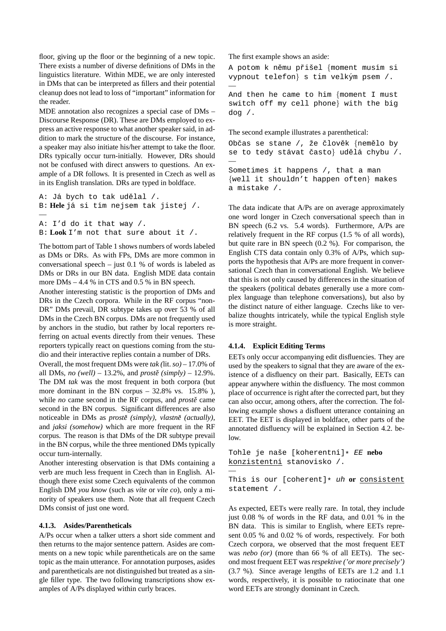floor, giving up the floor or the beginning of a new topic. There exists a number of diverse definitions of DMs in the linguistics literature. Within MDE, we are only interested in DMs that can be interpreted as fillers and their potential cleanup does not lead to loss of "important" information for the reader.

MDE annotation also recognizes a special case of DMs – Discourse Response (DR). These are DMs employed to express an active response to what another speaker said, in addition to mark the structure of the discourse. For instance, a speaker may also initiate his/her attempt to take the floor. DRs typically occur turn-initially. However, DRs should not be confused with direct answers to questions. An example of a DR follows. It is presented in Czech as well as in its English translation. DRs are typed in boldface.

```
A: Já bych to tak udělal /.
B: Hele já si tím nejsem tak jistej /.
—
A: I'd do it that way /.
B: Look I'm not that sure about it /.
```
The bottom part of Table 1 shows numbers of words labeled as DMs or DRs. As with FPs, DMs are more common in conversational speech – just 0.1 % of words is labeled as DMs or DRs in our BN data. English MDE data contain more DMs – 4.4 % in CTS and 0.5 % in BN speech.

Another interesting statistic is the proportion of DMs and DRs in the Czech corpora. While in the RF corpus "non-DR" DMs prevail, DR subtype takes up over 53 % of all DMs in the Czech BN corpus. DMs are not frequently used by anchors in the studio, but rather by local reporters referring on actual events directly from their venues. These reporters typically react on questions coming from the studio and their interactive replies contain a number of DRs.

Overall, the most frequent DMs were *tak (*lit.*so)* – 17.0% of all DMs, *no* (well) – 13.2%, and *prostě* (simply) – 12.9%. The DM *tak* was the most frequent in both corpora (but more dominant in the BN corpus –  $32.8\%$  vs. 15.8%), while *no* came second in the RF corpus, and *prostě* came second in the BN corpus. Significant differences are also noticeable in DMs as *prostě (simply)*, *vlastně (actually)*, and *jaksi (somehow)* which are more frequent in the RF corpus. The reason is that DMs of the DR subtype prevail in the BN corpus, while the three mentioned DMs typically occur turn-internally.

Another interesting observation is that DMs containing a verb are much less frequent in Czech than in English. Although there exist some Czech equivalents of the common English DM *you know* (such as *vite* or *vite co*), only a minority of speakers use them. Note that all frequent Czech DMs consist of just one word.

## **4.1.3. Asides/Parentheticals**

A/Ps occur when a talker utters a short side comment and then returns to the major sentence pattern. Asides are comments on a new topic while parentheticals are on the same topic as the main utterance. For annotation purposes, asides and parentheticals are not distinguished but treated as a single filler type. The two following transcriptions show examples of A/Ps displayed within curly braces.

The first example shows an aside:

A potom k němu přišel {moment musím si vypnout telefon} s tím velkým psem /. —

And then he came to him {moment I must switch off my cell phone} with the big dog  $/$ .

The second example illustrates a parenthetical:

Občas se stane /, že člověk {nemělo by se to tedy stávat často} udělá chybu /. — Sometimes it happens /, that a man {well it shouldn't happen often} makes a mistake /.

The data indicate that A/Ps are on average approximately one word longer in Czech conversational speech than in BN speech (6.2 vs. 5.4 words). Furthermore, A/Ps are relatively frequent in the RF corpus (1.5 % of all words), but quite rare in BN speech (0.2 %). For comparison, the English CTS data contain only 0.3% of A/Ps, which supports the hypothesis that A/Ps are more frequent in conversational Czech than in conversational English. We believe that this is not only caused by differences in the situation of the speakers (political debates generally use a more complex language than telephone conversations), but also by the distinct nature of either language. Czechs like to verbalize thoughts intricately, while the typical English style is more straight.

#### **4.1.4. Explicit Editing Terms**

EETs only occur accompanying edit disfluencies. They are used by the speakers to signal that they are aware of the existence of a disfluency on their part. Basically, EETs can appear anywhere within the disfluency. The most common place of occurrence is right after the corrected part, but they can also occur, among others, after the correction. The following example shows a disfluent utterance containing an EET. The EET is displayed in boldface, other parts of the annotated disfluency will be explained in Section 4.2. below.

```
Tohle je naˇse [koherentn´ı]* EE nebo
konzistentní stanovisko /.
—
```
This is our [coherent]\* uh **or** consistent statement /.

As expected, EETs were really rare. In total, they include just 0.08 % of words in the RF data, and 0.01 % in the BN data. This is similar to English, where EETs represent 0.05 % and 0.02 % of words, respectively. For both Czech corpora, we observed that the most frequent EET was *nebo (or)* (more than 66 % of all EETs). The second most frequent EET was *respektive ('or more precisely')* (3.7 %). Since average lengths of EETs are 1.2 and 1.1 words, respectively, it is possible to ratiocinate that one word EETs are strongly dominant in Czech.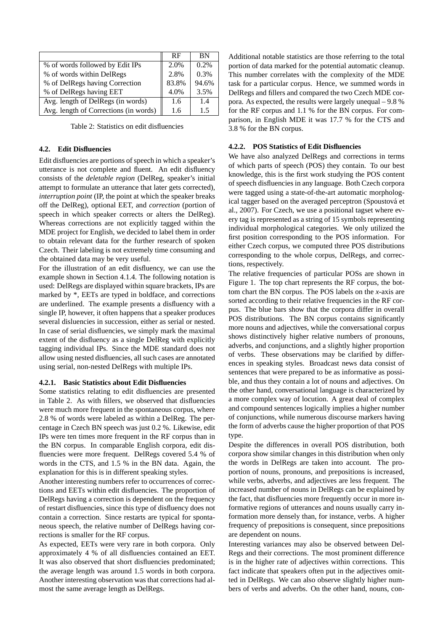|                                       | <b>RF</b> | <b>BN</b> |
|---------------------------------------|-----------|-----------|
| % of words followed by Edit IPs       | 2.0%      | 0.2%      |
| % of words within DelRegs             | 2.8%      | 0.3%      |
| % of DelRegs having Correction        | 83.8%     | 94.6%     |
| % of DelRegs having EET               | 4.0%      | 3.5%      |
| Avg. length of DelRegs (in words)     | 1.6       | 1.4       |
| Avg. length of Corrections (in words) | 1.6       | 15        |

Table 2: Statistics on edit disfluencies

#### **4.2. Edit Disfluencies**

Edit disfluencies are portions of speech in which a speaker's utterance is not complete and fluent. An edit disfluency consists of the *deletable region* (DelReg, speaker's initial attempt to formulate an utterance that later gets corrected), *interruption point* (IP, the point at which the speaker breaks off the DelReg), optional EET, and *correction* (portion of speech in which speaker corrects or alters the DelReg). Whereas corrections are not explicitly tagged within the MDE project for English, we decided to label them in order to obtain relevant data for the further research of spoken Czech. Their labeling is not extremely time consuming and the obtained data may be very useful.

For the illustration of an edit disfluency, we can use the example shown in Section 4.1.4. The following notation is used: DelRegs are displayed within square brackets, IPs are marked by \*, EETs are typed in boldface, and corrections are underlined. The example presents a disfluency with a single IP, however, it often happens that a speaker produces several disluencies in succession, either as serial or nested. In case of serial disfluencies, we simply mark the maximal extent of the disfluency as a single DelReg with explicitly tagging individual IPs. Since the MDE standard does not allow using nested disfluencies, all such cases are annotated using serial, non-nested DelRegs with multiple IPs.

#### **4.2.1. Basic Statistics about Edit Disfluencies**

Some statistics relating to edit disfluencies are presented in Table 2. As with fillers, we observed that disfluencies were much more frequent in the spontaneous corpus, where 2.8 % of words were labeled as within a DelReg. The percentage in Czech BN speech was just 0.2 %. Likewise, edit IPs were ten times more frequent in the RF corpus than in the BN corpus. In comparable English corpora, edit disfluencies were more frequent. DelRegs covered 5.4 % of words in the CTS, and 1.5 % in the BN data. Again, the explanation for this is in different speaking styles.

Another interesting numbers refer to occurrences of corrections and EETs within edit disfluencies. The proportion of DelRegs having a correction is dependent on the frequency of restart disfluencies, since this type of disfluency does not contain a correction. Since restarts are typical for spontaneous speech, the relative number of DelRegs having corrections is smaller for the RF corpus.

As expected, EETs were very rare in both corpora. Only approximately 4 % of all disfluencies contained an EET. It was also observed that short disfluencies predominated; the average length was around 1.5 words in both corpora. Another interesting observation was that corrections had almost the same average length as DelRegs.

Additional notable statistics are those referring to the total portion of data marked for the potential automatic cleanup. This number correlates with the complexity of the MDE task for a particular corpus. Hence, we summed words in DelRegs and fillers and compared the two Czech MDE corpora. As expected, the results were largely unequal – 9.8 % for the RF corpus and 1.1 % for the BN corpus. For comparison, in English MDE it was 17.7 % for the CTS and 3.8 % for the BN corpus.

## **4.2.2. POS Statistics of Edit Disfluencies**

We have also analyzed DelRegs and corrections in terms of which parts of speech (POS) they contain. To our best knowledge, this is the first work studying the POS content of speech disfluencies in any language. Both Czech corpora were tagged using a state-of-the-art automatic morphological tagger based on the averaged perceptron (Spoustová et al., 2007). For Czech, we use a positional tagset where every tag is represented as a string of 15 symbols representing individual morphological categories. We only utilized the first position corresponding to the POS information. For either Czech corpus, we computed three POS distributions corresponding to the whole corpus, DelRegs, and corrections, respectively.

The relative frequencies of particular POSs are shown in Figure 1. The top chart represents the RF corpus, the bottom chart the BN corpus. The POS labels on the *x*-axis are sorted according to their relative frequencies in the RF corpus. The blue bars show that the corpora differ in overall POS distributions. The BN corpus contains significantly more nouns and adjectives, while the conversational corpus shows distinctively higher relative numbers of pronouns, adverbs, and conjunctions, and a slightly higher proportion of verbs. These observations may be clarified by differences in speaking styles. Broadcast news data consist of sentences that were prepared to be as informative as possible, and thus they contain a lot of nouns and adjectives. On the other hand, conversational language is characterized by a more complex way of locution. A great deal of complex and compound sentences logically implies a higher number of conjunctions, while numerous discourse markers having the form of adverbs cause the higher proportion of that POS type.

Despite the differences in overall POS distribution, both corpora show similar changes in this distribution when only the words in DelRegs are taken into account. The proportion of nouns, pronouns, and prepositions is increased, while verbs, adverbs, and adjectives are less frequent. The increased number of nouns in DelRegs can be explained by the fact, that disfluencies more frequently occur in more informative regions of utterances and nouns usually carry information more densely than, for instance, verbs. A higher frequency of prepositions is consequent, since prepositions are dependent on nouns.

Interesting variances may also be observed between Del-Regs and their corrections. The most prominent difference is in the higher rate of adjectives within corrections. This fact indicate that speakers often put in the adjectives omitted in DelRegs. We can also observe slightly higher numbers of verbs and adverbs. On the other hand, nouns, con-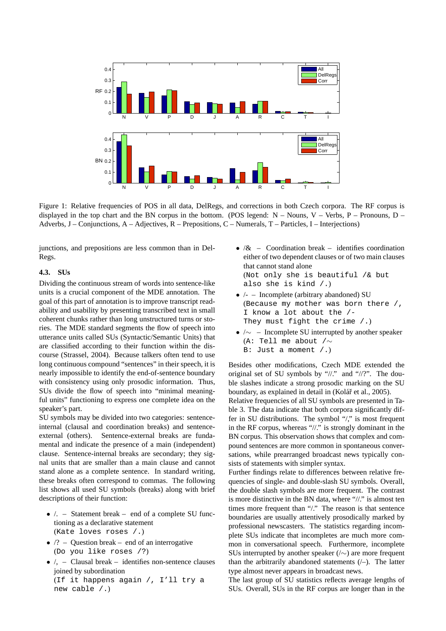

Figure 1: Relative frequencies of POS in all data, DelRegs, and corrections in both Czech corpora. The RF corpus is displayed in the top chart and the BN corpus in the bottom. (POS legend:  $N - Nours$ ,  $V - Verbs$ ,  $P - Pronouns$ ,  $D -$ Adverbs, J – Conjunctions, A – Adjectives, R – Prepositions, C – Numerals, T – Particles, I – Interjections)

junctions, and prepositions are less common than in Del-Regs.

#### **4.3. SUs**

Dividing the continuous stream of words into sentence-like units is a crucial component of the MDE annotation. The goal of this part of annotation is to improve transcript readability and usability by presenting transcribed text in small coherent chunks rather than long unstructured turns or stories. The MDE standard segments the flow of speech into utterance units called SUs (Syntactic/Semantic Units) that are classified according to their function within the discourse (Strassel, 2004). Because talkers often tend to use long continuous compound "sentences" in their speech, it is nearly impossible to identify the end-of-sentence boundary with consistency using only prosodic information. Thus, SUs divide the flow of speech into "minimal meaningful units" functioning to express one complete idea on the speaker's part.

SU symbols may be divided into two categories: sentenceinternal (clausal and coordination breaks) and sentenceexternal (others). Sentence-external breaks are fundamental and indicate the presence of a main (independent) clause. Sentence-internal breaks are secondary; they signal units that are smaller than a main clause and cannot stand alone as a complete sentence. In standard writing, these breaks often correspond to commas. The following list shows all used SU symbols (breaks) along with brief descriptions of their function:

- /. Statement break end of a complete SU functioning as a declarative statement (Kate loves roses /.)
- $/?$  Question break end of an interrogative (Do you like roses /?)
- $\bullet$  /, Clausal break identifies non-sentence clauses joined by subordination (If it happens again /, I'll try a new cable /.)
- $\&$  Coordination break identifies coordination either of two dependent clauses or of two main clauses that cannot stand alone (Not only she is beautiful /& but also she is kind /.)
- $/-$  Incomplete (arbitrary abandoned) SU (Because my mother was born there /, I know a lot about the /- They must fight the crime  $($ .)
- $\sqrt{\sim}$  Incomplete SU interrupted by another speaker (A: Tell me about /∼ B: Just a moment /.)

Besides other modifications, Czech MDE extended the original set of SU symbols by "//." and "//?". The double slashes indicate a strong prosodic marking on the SU boundary, as explained in detail in (Kolář et al., 2005).

Relative frequencies of all SU symbols are presented in Table 3. The data indicate that both corpora significantly differ in SU distributions. The symbol "/," is most frequent in the RF corpus, whereas "//." is strongly dominant in the BN corpus. This observation shows that complex and compound sentences are more common in spontaneous conversations, while prearranged broadcast news typically consists of statements with simpler syntax.

Further findings relate to differences between relative frequencies of single- and double-slash SU symbols. Overall, the double slash symbols are more frequent. The contrast is more distinctive in the BN data, where "//." is almost ten times more frequent than "/." The reason is that sentence boundaries are usually attentively prosodically marked by professional newscasters. The statistics regarding incomplete SUs indicate that incompletes are much more common in conversational speech. Furthermore, incomplete SUs interrupted by another speaker ( $\land \sim$ ) are more frequent than the arbitrarily abandoned statements  $($  – $)$ . The latter type almost never appears in broadcast news.

The last group of SU statistics reflects average lengths of SUs. Overall, SUs in the RF corpus are longer than in the